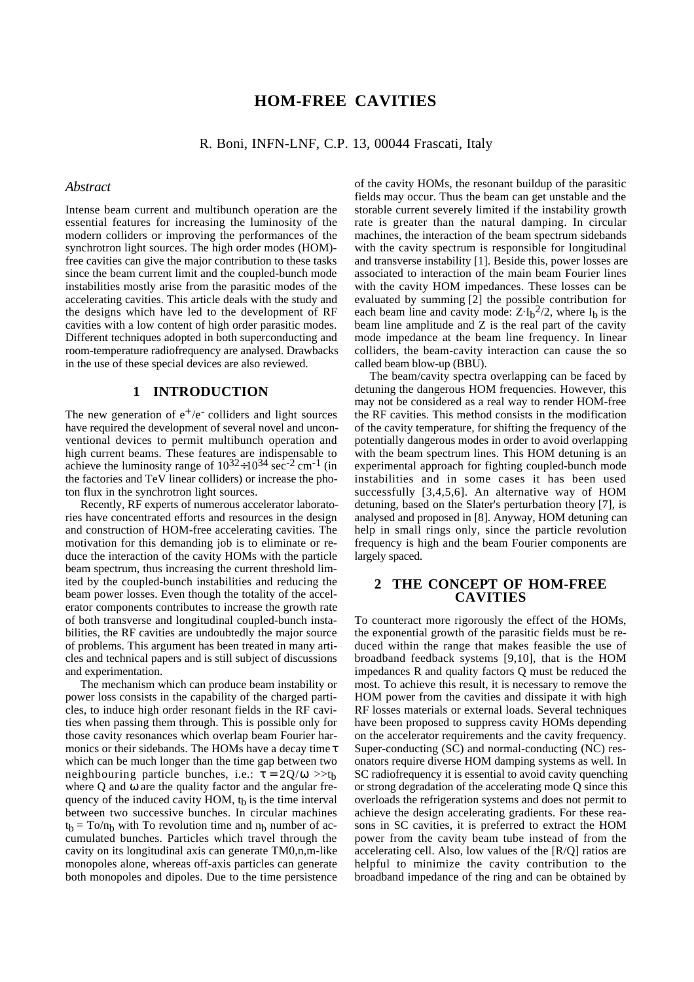# **HOM-FREE CAVITIES**

R. Boni, INFN-LNF, C.P. 13, 00044 Frascati, Italy

#### *Abstract*

Intense beam current and multibunch operation are the essential features for increasing the luminosity of the modern colliders or improving the performances of the synchrotron light sources. The high order modes (HOM) free cavities can give the major contribution to these tasks since the beam current limit and the coupled-bunch mode instabilities mostly arise from the parasitic modes of the accelerating cavities. This article deals with the study and the designs which have led to the development of RF cavities with a low content of high order parasitic modes. Different techniques adopted in both superconducting and room-temperature radiofrequency are analysed. Drawbacks in the use of these special devices are also reviewed.

# **1 INTRODUCTION**

The new generation of  $e^+/e^-$  colliders and light sources have required the development of several novel and unconventional devices to permit multibunch operation and high current beams. These features are indispensable to achieve the luminosity range of  $10^{32} \div 10^{34}$  sec<sup>-2</sup> cm<sup>-1</sup> (in the factories and TeV linear colliders) or increase the photon flux in the synchrotron light sources.

Recently, RF experts of numerous accelerator laboratories have concentrated efforts and resources in the design and construction of HOM-free accelerating cavities. The motivation for this demanding job is to eliminate or reduce the interaction of the cavity HOMs with the particle beam spectrum, thus increasing the current threshold limited by the coupled-bunch instabilities and reducing the beam power losses. Even though the totality of the accelerator components contributes to increase the growth rate of both transverse and longitudinal coupled-bunch instabilities, the RF cavities are undoubtedly the major source of problems. This argument has been treated in many articles and technical papers and is still subject of discussions and experimentation.

The mechanism which can produce beam instability or power loss consists in the capability of the charged particles, to induce high order resonant fields in the RF cavities when passing them through. This is possible only for those cavity resonances which overlap beam Fourier harmonics or their sidebands. The HOMs have a decay time  $\tau$ which can be much longer than the time gap between two neighbouring particle bunches, i.e.:  $\tau = 2Q/\omega >> t_b$ where Q and  $\omega$  are the quality factor and the angular frequency of the induced cavity HOM,  $t<sub>b</sub>$  is the time interval between two successive bunches. In circular machines  $t_b = To/n_b$  with To revolution time and  $n_b$  number of accumulated bunches. Particles which travel through the cavity on its longitudinal axis can generate TM0,n,m-like monopoles alone, whereas off-axis particles can generate both monopoles and dipoles. Due to the time persistence of the cavity HOMs, the resonant buildup of the parasitic fields may occur. Thus the beam can get unstable and the storable current severely limited if the instability growth rate is greater than the natural damping. In circular machines, the interaction of the beam spectrum sidebands with the cavity spectrum is responsible for longitudinal and transverse instability [1]. Beside this, power losses are associated to interaction of the main beam Fourier lines with the cavity HOM impedances. These losses can be evaluated by summing [2] the possible contribution for each beam line and cavity mode:  $Z \cdot I_b^2/2$ , where  $I_b$  is the beam line amplitude and Z is the real part of the cavity mode impedance at the beam line frequency. In linear colliders, the beam-cavity interaction can cause the so called beam blow-up (BBU).

The beam/cavity spectra overlapping can be faced by detuning the dangerous HOM frequencies. However, this may not be considered as a real way to render HOM-free the RF cavities. This method consists in the modification of the cavity temperature, for shifting the frequency of the potentially dangerous modes in order to avoid overlapping with the beam spectrum lines. This HOM detuning is an experimental approach for fighting coupled-bunch mode instabilities and in some cases it has been used successfully [3,4,5,6]. An alternative way of HOM detuning, based on the Slater's perturbation theory [7], is analysed and proposed in [8]. Anyway, HOM detuning can help in small rings only, since the particle revolution frequency is high and the beam Fourier components are largely spaced.

### **2 THE CONCEPT OF HOM-FREE CAVITIES**

To counteract more rigorously the effect of the HOMs, the exponential growth of the parasitic fields must be reduced within the range that makes feasible the use of broadband feedback systems [9,10], that is the HOM impedances R and quality factors Q must be reduced the most. To achieve this result, it is necessary to remove the HOM power from the cavities and dissipate it with high RF losses materials or external loads. Several techniques have been proposed to suppress cavity HOMs depending on the accelerator requirements and the cavity frequency. Super-conducting (SC) and normal-conducting (NC) resonators require diverse HOM damping systems as well. In SC radiofrequency it is essential to avoid cavity quenching or strong degradation of the accelerating mode Q since this overloads the refrigeration systems and does not permit to achieve the design accelerating gradients. For these reasons in SC cavities, it is preferred to extract the HOM power from the cavity beam tube instead of from the accelerating cell. Also, low values of the [R/Q] ratios are helpful to minimize the cavity contribution to the broadband impedance of the ring and can be obtained by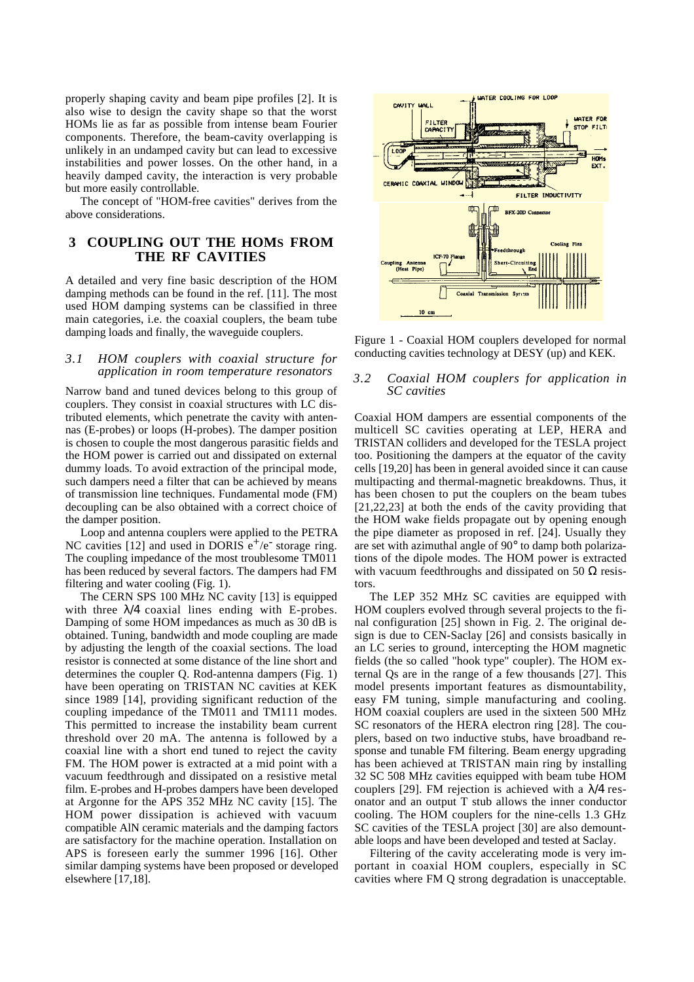properly shaping cavity and beam pipe profiles [2]. It is also wise to design the cavity shape so that the worst HOMs lie as far as possible from intense beam Fourier components. Therefore, the beam-cavity overlapping is unlikely in an undamped cavity but can lead to excessive instabilities and power losses. On the other hand, in a heavily damped cavity, the interaction is very probable but more easily controllable.

The concept of "HOM-free cavities" derives from the above considerations.

# **3 COUPLING OUT THE HOMS FROM THE RF CAVITIES**

A detailed and very fine basic description of the HOM damping methods can be found in the ref. [11]. The most used HOM damping systems can be classified in three main categories, i.e. the coaxial couplers, the beam tube damping loads and finally, the waveguide couplers.

#### *3.1 HOM couplers with coaxial structure for application in room temperature resonators*

Narrow band and tuned devices belong to this group of couplers. They consist in coaxial structures with LC distributed elements, which penetrate the cavity with antennas (E-probes) or loops (H-probes). The damper position is chosen to couple the most dangerous parasitic fields and the HOM power is carried out and dissipated on external dummy loads. To avoid extraction of the principal mode, such dampers need a filter that can be achieved by means of transmission line techniques. Fundamental mode (FM) decoupling can be also obtained with a correct choice of the damper position.

Loop and antenna couplers were applied to the PETRA NC cavities [12] and used in DORIS  $e^+/e^-$  storage ring. The coupling impedance of the most troublesome TM011 has been reduced by several factors. The dampers had FM filtering and water cooling (Fig. 1).

The CERN SPS 100 MHz NC cavity [13] is equipped with three  $\lambda/4$  coaxial lines ending with E-probes. Damping of some HOM impedances as much as 30 dB is obtained. Tuning, bandwidth and mode coupling are made by adjusting the length of the coaxial sections. The load resistor is connected at some distance of the line short and determines the coupler Q. Rod-antenna dampers (Fig. 1) have been operating on TRISTAN NC cavities at KEK since 1989 [14], providing significant reduction of the coupling impedance of the TM011 and TM111 modes. This permitted to increase the instability beam current threshold over 20 mA. The antenna is followed by a coaxial line with a short end tuned to reject the cavity FM. The HOM power is extracted at a mid point with a vacuum feedthrough and dissipated on a resistive metal film. E-probes and H-probes dampers have been developed at Argonne for the APS 352 MHz NC cavity [15]. The HOM power dissipation is achieved with vacuum compatible AlN ceramic materials and the damping factors are satisfactory for the machine operation. Installation on APS is foreseen early the summer 1996 [16]. Other similar damping systems have been proposed or developed elsewhere [17,18].



Figure 1 - Coaxial HOM couplers developed for normal conducting cavities technology at DESY (up) and KEK.

#### *3.2 Coaxial HOM couplers for application in SC cavities*

Coaxial HOM dampers are essential components of the multicell SC cavities operating at LEP, HERA and TRISTAN colliders and developed for the TESLA project too. Positioning the dampers at the equator of the cavity cells [19,20] has been in general avoided since it can cause multipacting and thermal-magnetic breakdowns. Thus, it has been chosen to put the couplers on the beam tubes [21,22,23] at both the ends of the cavity providing that the HOM wake fields propagate out by opening enough the pipe diameter as proposed in ref. [24]. Usually they are set with azimuthal angle of 90° to damp both polarizations of the dipole modes. The HOM power is extracted with vacuum feedthroughs and dissipated on 50  $\Omega$  resistors.

The LEP 352 MHz SC cavities are equipped with HOM couplers evolved through several projects to the final configuration [25] shown in Fig. 2. The original design is due to CEN-Saclay [26] and consists basically in an LC series to ground, intercepting the HOM magnetic fields (the so called "hook type" coupler). The HOM external Qs are in the range of a few thousands [27]. This model presents important features as dismountability, easy FM tuning, simple manufacturing and cooling. HOM coaxial couplers are used in the sixteen 500 MHz SC resonators of the HERA electron ring [28]. The couplers, based on two inductive stubs, have broadband response and tunable FM filtering. Beam energy upgrading has been achieved at TRISTAN main ring by installing 32 SC 508 MHz cavities equipped with beam tube HOM couplers [29]. FM rejection is achieved with a  $\lambda$ /4 resonator and an output T stub allows the inner conductor cooling. The HOM couplers for the nine-cells 1.3 GHz SC cavities of the TESLA project [30] are also demountable loops and have been developed and tested at Saclay.

Filtering of the cavity accelerating mode is very important in coaxial HOM couplers, especially in SC cavities where FM Q strong degradation is unacceptable.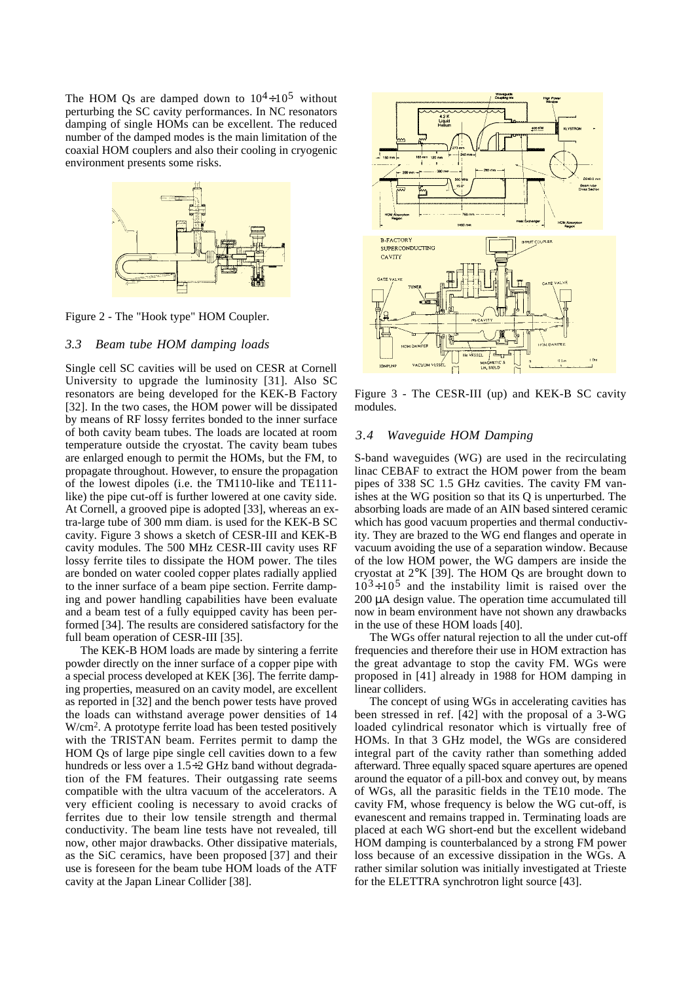The HOM Os are damped down to  $10^4 \div 10^5$  without perturbing the SC cavity performances. In NC resonators damping of single HOMs can be excellent. The reduced number of the damped modes is the main limitation of the coaxial HOM couplers and also their cooling in cryogenic environment presents some risks.



Figure 2 - The "Hook type" HOM Coupler.

#### *3.3 Beam tube HOM damping loads*

Single cell SC cavities will be used on CESR at Cornell University to upgrade the luminosity [31]. Also SC resonators are being developed for the KEK-B Factory [32]. In the two cases, the HOM power will be dissipated by means of RF lossy ferrites bonded to the inner surface of both cavity beam tubes. The loads are located at room temperature outside the cryostat. The cavity beam tubes are enlarged enough to permit the HOMs, but the FM, to propagate throughout. However, to ensure the propagation of the lowest dipoles (i.e. the TM110-like and TE111 like) the pipe cut-off is further lowered at one cavity side. At Cornell, a grooved pipe is adopted [33], whereas an extra-large tube of 300 mm diam. is used for the KEK-B SC cavity. Figure 3 shows a sketch of CESR-III and KEK-B cavity modules. The 500 MHz CESR-III cavity uses RF lossy ferrite tiles to dissipate the HOM power. The tiles are bonded on water cooled copper plates radially applied to the inner surface of a beam pipe section. Ferrite damping and power handling capabilities have been evaluate and a beam test of a fully equipped cavity has been performed [34]. The results are considered satisfactory for the full beam operation of CESR-III [35].

The KEK-B HOM loads are made by sintering a ferrite powder directly on the inner surface of a copper pipe with a special process developed at KEK [36]. The ferrite damping properties, measured on an cavity model, are excellent as reported in [32] and the bench power tests have proved the loads can withstand average power densities of 14 W/cm2. A prototype ferrite load has been tested positively with the TRISTAN beam. Ferrites permit to damp the HOM Qs of large pipe single cell cavities down to a few hundreds or less over a 1.5÷2 GHz band without degradation of the FM features. Their outgassing rate seems compatible with the ultra vacuum of the accelerators. A very efficient cooling is necessary to avoid cracks of ferrites due to their low tensile strength and thermal conductivity. The beam line tests have not revealed, till now, other major drawbacks. Other dissipative materials, as the SiC ceramics, have been proposed [37] and their use is foreseen for the beam tube HOM loads of the ATF cavity at the Japan Linear Collider [38].



Figure 3 - The CESR-III (up) and KEK-B SC cavity modules.

#### *3.4 Waveguide HOM Damping*

S-band waveguides (WG) are used in the recirculating linac CEBAF to extract the HOM power from the beam pipes of 338 SC 1.5 GHz cavities. The cavity FM vanishes at the WG position so that its Q is unperturbed. The absorbing loads are made of an AIN based sintered ceramic which has good vacuum properties and thermal conductivity. They are brazed to the WG end flanges and operate in vacuum avoiding the use of a separation window. Because of the low HOM power, the WG dampers are inside the cryostat at 2°K [39]. The HOM Qs are brought down to  $10^3 \div 10^5$  and the instability limit is raised over the 200 µA design value. The operation time accumulated till now in beam environment have not shown any drawbacks in the use of these HOM loads [40].

The WGs offer natural rejection to all the under cut-off frequencies and therefore their use in HOM extraction has the great advantage to stop the cavity FM. WGs were proposed in [41] already in 1988 for HOM damping in linear colliders.

The concept of using WGs in accelerating cavities has been stressed in ref. [42] with the proposal of a 3-WG loaded cylindrical resonator which is virtually free of HOMs. In that 3 GHz model, the WGs are considered integral part of the cavity rather than something added afterward. Three equally spaced square apertures are opened around the equator of a pill-box and convey out, by means of WGs, all the parasitic fields in the TE10 mode. The cavity FM, whose frequency is below the WG cut-off, is evanescent and remains trapped in. Terminating loads are placed at each WG short-end but the excellent wideband HOM damping is counterbalanced by a strong FM power loss because of an excessive dissipation in the WGs. A rather similar solution was initially investigated at Trieste for the ELETTRA synchrotron light source [43].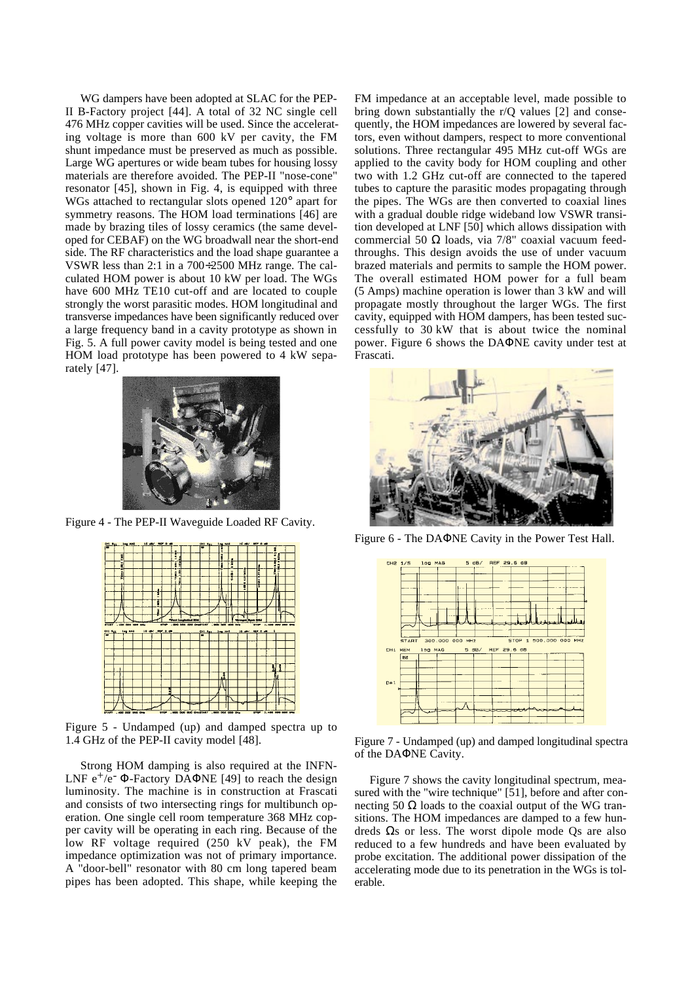WG dampers have been adopted at SLAC for the PEP-II B-Factory project [44]. A total of 32 NC single cell 476 MHz copper cavities will be used. Since the accelerating voltage is more than 600 kV per cavity, the FM shunt impedance must be preserved as much as possible. Large WG apertures or wide beam tubes for housing lossy materials are therefore avoided. The PEP-II "nose-cone" resonator [45], shown in Fig. 4, is equipped with three WGs attached to rectangular slots opened 120° apart for symmetry reasons. The HOM load terminations [46] are made by brazing tiles of lossy ceramics (the same developed for CEBAF) on the WG broadwall near the short-end side. The RF characteristics and the load shape guarantee a VSWR less than 2:1 in a 700÷2500 MHz range. The calculated HOM power is about 10 kW per load. The WGs have 600 MHz TE10 cut-off and are located to couple strongly the worst parasitic modes. HOM longitudinal and transverse impedances have been significantly reduced over a large frequency band in a cavity prototype as shown in Fig. 5. A full power cavity model is being tested and one HOM load prototype has been powered to 4 kW separately [47].



Figure 4 - The PEP-II Waveguide Loaded RF Cavity.



Figure 5 - Undamped (up) and damped spectra up to 1.4 GHz of the PEP-II cavity model [48].

Strong HOM damping is also required at the INFN-LNF  $e^+/e^-$  Φ-Factory DAΦNE [49] to reach the design luminosity. The machine is in construction at Frascati and consists of two intersecting rings for multibunch operation. One single cell room temperature 368 MHz copper cavity will be operating in each ring. Because of the low RF voltage required (250 kV peak), the FM impedance optimization was not of primary importance. A "door-bell" resonator with 80 cm long tapered beam pipes has been adopted. This shape, while keeping the FM impedance at an acceptable level, made possible to bring down substantially the r/Q values [2] and consequently, the HOM impedances are lowered by several factors, even without dampers, respect to more conventional solutions. Three rectangular 495 MHz cut-off WGs are applied to the cavity body for HOM coupling and other two with 1.2 GHz cut-off are connected to the tapered tubes to capture the parasitic modes propagating through the pipes. The WGs are then converted to coaxial lines with a gradual double ridge wideband low VSWR transition developed at LNF [50] which allows dissipation with commercial 50 Ω loads, via 7/8" coaxial vacuum feedthroughs. This design avoids the use of under vacuum brazed materials and permits to sample the HOM power. The overall estimated HOM power for a full beam (5 Amps) machine operation is lower than 3 kW and will propagate mostly throughout the larger WGs. The first cavity, equipped with HOM dampers, has been tested successfully to 30 kW that is about twice the nominal power. Figure 6 shows the DAΦNE cavity under test at Frascati.



Figure 6 - The DAΦNE Cavity in the Power Test Hall.



Figure 7 - Undamped (up) and damped longitudinal spectra of the DAΦNE Cavity.

Figure 7 shows the cavity longitudinal spectrum, measured with the "wire technique" [51], before and after connecting 50 Ω loads to the coaxial output of the WG transitions. The HOM impedances are damped to a few hundreds Ωs or less. The worst dipole mode Qs are also reduced to a few hundreds and have been evaluated by probe excitation. The additional power dissipation of the accelerating mode due to its penetration in the WGs is tolerable.